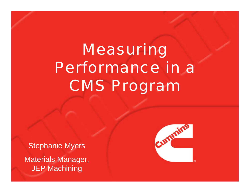# Measuring Performance in a CMS Program

Stephanie Myers

Materials Manager, JEP Machining

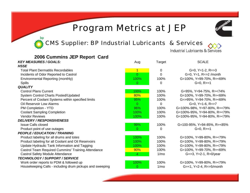#### Program Metrics at JEP

CMS Supplier: BP Industrial Lubricants & Services

bp



Industrial Lubricants & Services

| 2006 Cummins JEP Report Card                             |                |                  |                                         |
|----------------------------------------------------------|----------------|------------------|-----------------------------------------|
| <b>KEY MEASURES / GOALS:</b>                             | Aug            | Target           | <b>SCALE</b>                            |
| <b>HSSE</b>                                              |                |                  |                                         |
| <b>Total Plant Dermatitis Recordables</b>                | $\overline{1}$ | $\mathbf 0$      | $G=0$ , $Y=1-2$ , $R = > 3$             |
| Incidents of Odor Reported to Castrol                    | $\Omega$       | $\Omega$         | G=0, $Y=1$ , $R = >2$ /month            |
| Environmental Reporting (monthly)                        | 100%           | 100%             | G=100%, Y=99-70%, R=<69%                |
| <b>Spills</b>                                            | 0              | $\Omega$         | $G=0, R>=1$                             |
| <b>QUALITY</b>                                           |                |                  |                                         |
| <b>Control Plans Current</b>                             | 100%           | 100%             | G=95%, Y=94-75%, R=<74%                 |
| System Control Charts Posted/Updated                     | 80%            | 100%             | G=100%, Y=99-70%, R=<69%                |
| Percent of Coolant Systems within specified limits       | 95%            | 100%             | G=>95%, Y=94-70%, R=<69%                |
| <b>Oil Reservoir Low Alarms</b>                          | $\Omega$       | 0                | $G=0$ , $Y=1-6$ , $R = > 7$             |
| PM Completion - YTD                                      | 96%            | 100%             | G=100%-98%, Y=97-80%, R=<79%            |
| <b>Coolant Sampling Completion</b>                       | 100%           | 100%             | G=100%-95%, Y=94-80%, R=<79%            |
| <b>Vendor Reviews</b>                                    | 100%           | 100%             | G=100%-95%, Y=94-80%, R=<79%            |
| <b>DELIVERY / RESPONSIVENESS</b>                         |                |                  |                                         |
| <b>Issue Calls closed</b>                                | 99%            | 100%             | G=100-95%, Y=94-85%, R=<85%             |
| Product point of use outages                             | 0              | 0                | $G=0, R>=1$                             |
| <b>PEOPLE / EDUCATION / TRAINING</b>                     |                |                  |                                         |
| Product labeling for all drums and totes                 | 100%           | 100%             | G=100%, Y=99-80%, R=<79%                |
| Product labeling for all Coolant and Oil Reservoirs      | 100%           | 100%             | G=100%, Y=99-80%, R=<79%                |
| Update Hydraulic Tank Information and Tagging            | 100%           | 100%             | G=100%, Y=99-80%, R=<79%                |
| Castrol Team Required Cummins' Training Attendance       | 90%            | 100%             | G=100%, Y=99-70%, R=<69%                |
| <b>Castrol Safety Module Attendance</b>                  | 4              | 1/m <sub>O</sub> | $G = > 3$ , $Y = 2 - 1$ , $R = 0$ /year |
| TECHNOLOGY / SUPPORT / SERVICE                           |                |                  |                                         |
| Work order reports to PDM & followed up                  | 100%           | 100%             | G=100%, Y=99-80%, R=<79%                |
| Housekeeping Calls - including drum pickups and sweeping | 0              | 1/m <sub>O</sub> | $G = < 1, Y = 2 - 4, R = > 5 /$ month   |
|                                                          |                |                  |                                         |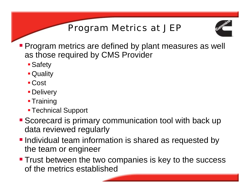## Program Metrics at JEP



- **Program metrics are defined by plant measures as well** as those required by CMS Provider
	- **Safety**
	- Quality
	- Cost
	- **Delivery**
	- **Training**
	- **Technical Support**
- Scorecard is primary communication tool with back up data reviewed regularly
- **-Individual team information is shared as requested by** the team or engineer
- **Trust between the two companies is key to the success** of the metrics established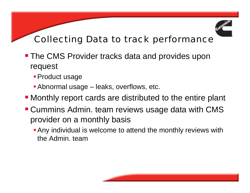

### Collecting Data to track performance

- **The CMS Provider tracks data and provides upon** request
	- **Product usage**
	- Abnormal usage leaks, overflows, etc.
- Monthly report cards are distributed to the entire plant
- **Cummins Admin. team reviews usage data with CMS** provider on a monthly basis
	- Any individual is welcome to attend the monthly reviews with the Admin. team

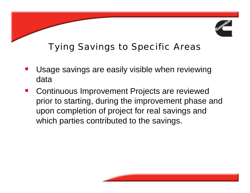

# Tying Savings to Specific Areas

- Usage savings are easily visible when reviewing data
- $\mathcal{L}(\mathcal{L})$  Continuous Improvement Projects are reviewed prior to starting, during the improvement phase and upon completion of project for real savings and which parties contributed to the savings.